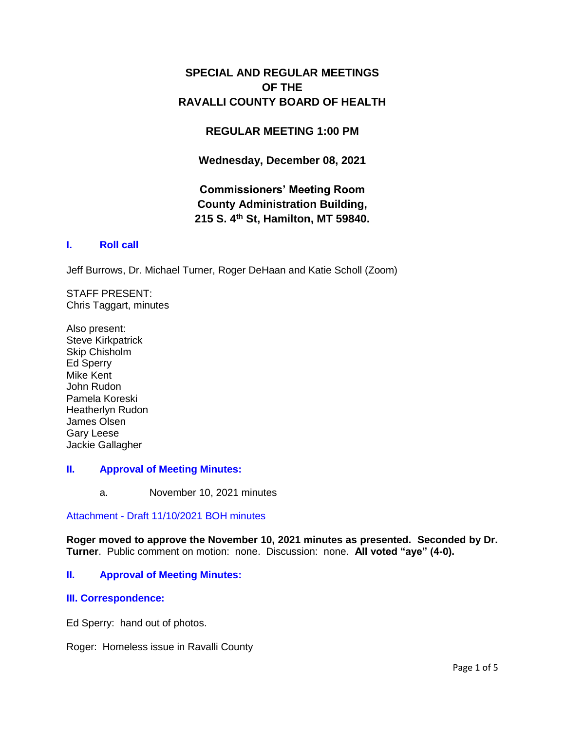# **SPECIAL AND REGULAR MEETINGS OF THE RAVALLI COUNTY BOARD OF HEALTH**

## **REGULAR MEETING 1:00 PM**

**Wednesday, December 08, 2021**

# **Commissioners' Meeting Room County Administration Building, 215 S. 4th St, Hamilton, MT 59840.**

## **I. [Roll call](http://ravalli-mt.granicus.com/wordlinkreceiver.php?clip_id=1f1c5d3a-f13f-4112-94d2-afc6324b08cd&meta_id=5525d03e-647c-482b-82dd-8951f124d558&time=1)**

Jeff Burrows, Dr. Michael Turner, Roger DeHaan and Katie Scholl (Zoom)

STAFF PRESENT: Chris Taggart, minutes

Also present: Steve Kirkpatrick Skip Chisholm Ed Sperry Mike Kent John Rudon Pamela Koreski Heatherlyn Rudon James Olsen Gary Leese Jackie Gallagher

## **II. [Approval of Meeting Minutes:](http://ravalli-mt.granicus.com/wordlinkreceiver.php?clip_id=1f1c5d3a-f13f-4112-94d2-afc6324b08cd&meta_id=5eee688b-ed32-4360-bb41-c91257d1313f&time=159)**

a. November 10, 2021 minutes

Attachment - [Draft 11/10/2021 BOH minutes](http://ravalli-mt.granicus.com/DocumentViewer.php?file=ravalli-mt_5f2373db43fe7b0154991ac3d0ed4f34.pdf)

**Roger moved to approve the November 10, 2021 minutes as presented. Seconded by Dr. Turner**. Public comment on motion: none. Discussion: none. **All voted "aye" (4-0).**

### **II. [Approval of Meeting Minutes:](http://ravalli-mt.granicus.com/wordlinkreceiver.php?clip_id=1f1c5d3a-f13f-4112-94d2-afc6324b08cd&meta_id=54a64653-ff8f-495a-a447-133eecf4d82e&time=160)**

### **[III. Correspondence:](http://ravalli-mt.granicus.com/wordlinkreceiver.php?clip_id=1f1c5d3a-f13f-4112-94d2-afc6324b08cd&meta_id=de06b449-e39f-420f-849d-d1c116087958&time=160)**

Ed Sperry: hand out of photos.

Roger: Homeless issue in Ravalli County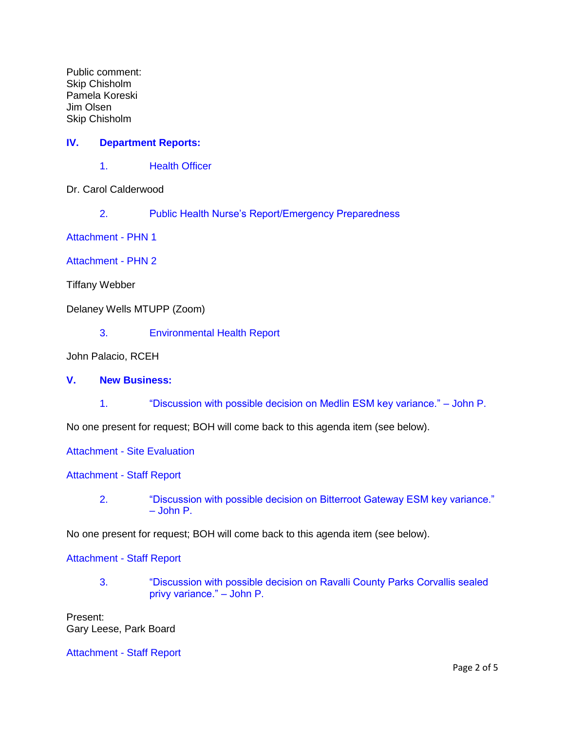Public comment: Skip Chisholm Pamela Koreski Jim Olsen Skip Chisholm

## **IV. [Department Reports:](http://ravalli-mt.granicus.com/wordlinkreceiver.php?clip_id=1f1c5d3a-f13f-4112-94d2-afc6324b08cd&meta_id=46b0eca9-85c8-448f-970e-645861f1b2ba&time=1283)**

1. [Health Officer](http://ravalli-mt.granicus.com/wordlinkreceiver.php?clip_id=1f1c5d3a-f13f-4112-94d2-afc6324b08cd&meta_id=e05db39a-1989-45ed-864c-64015a713026&time=1284)

Dr. Carol Calderwood

2. [Public Health Nurse's Report/Emergency Preparedness](http://ravalli-mt.granicus.com/wordlinkreceiver.php?clip_id=1f1c5d3a-f13f-4112-94d2-afc6324b08cd&meta_id=b3b03372-3b54-421a-a18f-361f82923437&time=1362)

[Attachment -](http://ravalli-mt.granicus.com/DocumentViewer.php?file=ravalli-mt_25d9298baffab71d0a89ce644b107dd8.pdf) PHN 1

[Attachment -](http://ravalli-mt.granicus.com/DocumentViewer.php?file=ravalli-mt_2c14a7a8476e932116e852c77157cc31.pdf) PHN 2

Tiffany Webber

Delaney Wells MTUPP (Zoom)

3. [Environmental Health Report](http://ravalli-mt.granicus.com/wordlinkreceiver.php?clip_id=1f1c5d3a-f13f-4112-94d2-afc6324b08cd&meta_id=aa1d4a3d-dc9e-46c1-a9bf-431159e99d6a&time=2169)

John Palacio, RCEH

- **V. [New Business:](http://ravalli-mt.granicus.com/wordlinkreceiver.php?clip_id=1f1c5d3a-f13f-4112-94d2-afc6324b08cd&meta_id=8fb797a3-856f-4e5c-a566-dc9190061314&time=2242)**
	- 1. ["Discussion with possible decision on Medlin ESM key variance." –](http://ravalli-mt.granicus.com/wordlinkreceiver.php?clip_id=1f1c5d3a-f13f-4112-94d2-afc6324b08cd&meta_id=b6a39bf8-121c-4e58-ad3e-1a45648ffdda&time=2243) John P.

No one present for request; BOH will come back to this agenda item (see below).

Attachment - [Site Evaluation](http://ravalli-mt.granicus.com/DocumentViewer.php?file=ravalli-mt_0211207d5faa0637be59ba94dc8998a4.pdf)

[Attachment -](http://ravalli-mt.granicus.com/DocumentViewer.php?file=ravalli-mt_9e5153d6ed9d5182c85cbf4094a0be86.pdf) Staff Report

2. ["Discussion with possible decision on Bitterroot Gateway ESM key variance."](http://ravalli-mt.granicus.com/wordlinkreceiver.php?clip_id=1f1c5d3a-f13f-4112-94d2-afc6324b08cd&meta_id=e88d4707-1da8-4f5a-9b8e-ccf63662169b&time=2282)  – [John P.](http://ravalli-mt.granicus.com/wordlinkreceiver.php?clip_id=1f1c5d3a-f13f-4112-94d2-afc6324b08cd&meta_id=e88d4707-1da8-4f5a-9b8e-ccf63662169b&time=2282)

No one present for request; BOH will come back to this agenda item (see below).

[Attachment -](http://ravalli-mt.granicus.com/DocumentViewer.php?file=ravalli-mt_18290cfe0e6dc7f50e6094d141fd191d.pdf) Staff Report

3. ["Discussion with possible decision on Ravalli County Parks Corvallis sealed](http://ravalli-mt.granicus.com/wordlinkreceiver.php?clip_id=1f1c5d3a-f13f-4112-94d2-afc6324b08cd&meta_id=7d5b803d-adc1-43f2-85b0-586971542b13&time=2364)  [privy variance." –](http://ravalli-mt.granicus.com/wordlinkreceiver.php?clip_id=1f1c5d3a-f13f-4112-94d2-afc6324b08cd&meta_id=7d5b803d-adc1-43f2-85b0-586971542b13&time=2364) John P.

Present: Gary Leese, Park Board

[Attachment -](http://ravalli-mt.granicus.com/DocumentViewer.php?file=ravalli-mt_f904fede2b4c172fe0232470470eacf9.pdf) Staff Report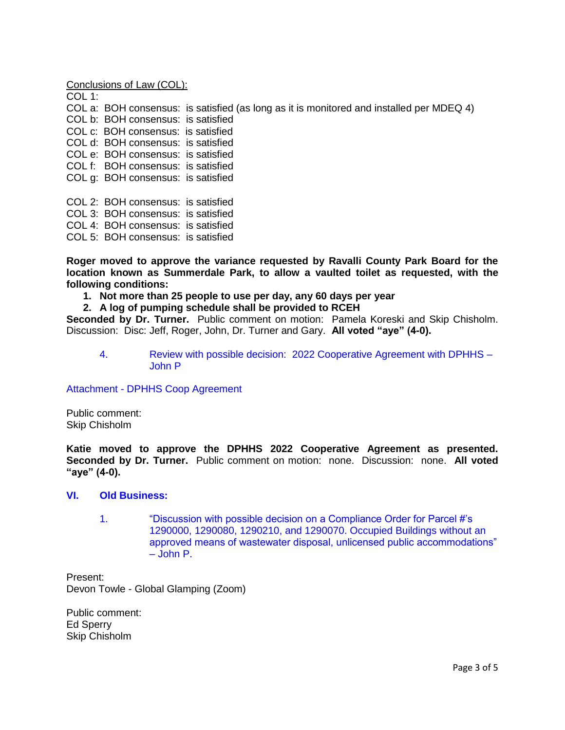Conclusions of Law (COL):

COL 1: COL a: BOH consensus: is satisfied (as long as it is monitored and installed per MDEQ 4) COL b: BOH consensus: is satisfied COL c: BOH consensus: is satisfied COL d: BOH consensus: is satisfied COL e: BOH consensus: is satisfied COL f: BOH consensus: is satisfied COL g: BOH consensus: is satisfied COL 2: BOH consensus: is satisfied COL 3: BOH consensus: is satisfied COL 4: BOH consensus: is satisfied COL 5: BOH consensus: is satisfied

**Roger moved to approve the variance requested by Ravalli County Park Board for the location known as Summerdale Park, to allow a vaulted toilet as requested, with the following conditions:**

### **1. Not more than 25 people to use per day, any 60 days per year**

**2. A log of pumping schedule shall be provided to RCEH**

**Seconded by Dr. Turner.** Public comment on motion: Pamela Koreski and Skip Chisholm. Discussion: Disc: Jeff, Roger, John, Dr. Turner and Gary. **All voted "aye" (4-0).**

4. [Review with possible decision: 2022 Cooperative Agreement with DPHHS –](http://ravalli-mt.granicus.com/wordlinkreceiver.php?clip_id=1f1c5d3a-f13f-4112-94d2-afc6324b08cd&meta_id=a1896b4d-54fe-4a73-b7e0-e364f9ba5a3a&time=3791) [John P](http://ravalli-mt.granicus.com/wordlinkreceiver.php?clip_id=1f1c5d3a-f13f-4112-94d2-afc6324b08cd&meta_id=a1896b4d-54fe-4a73-b7e0-e364f9ba5a3a&time=3791)

Attachment - [DPHHS Coop Agreement](http://ravalli-mt.granicus.com/DocumentViewer.php?file=ravalli-mt_dafd23c94fc93644be1ce143cea3e379.pdf)

Public comment: Skip Chisholm

**Katie moved to approve the DPHHS 2022 Cooperative Agreement as presented. Seconded by Dr. Turner.** Public comment on motion: none. Discussion: none. **All voted "aye" (4-0).**

### **VI. [Old Business:](http://ravalli-mt.granicus.com/wordlinkreceiver.php?clip_id=1f1c5d3a-f13f-4112-94d2-afc6324b08cd&meta_id=8a5b8766-3128-45e7-bfd3-e4e5a814d7bd&time=3900)**

1. ["Discussion with possible decision on a Compliance Order for Parcel #'s](http://ravalli-mt.granicus.com/wordlinkreceiver.php?clip_id=1f1c5d3a-f13f-4112-94d2-afc6324b08cd&meta_id=404d6e1f-216b-49a8-94c9-f3b1da418376&time=3910)  [1290000, 1290080, 1290210, and 1290070. Occupied Buildings without an](http://ravalli-mt.granicus.com/wordlinkreceiver.php?clip_id=1f1c5d3a-f13f-4112-94d2-afc6324b08cd&meta_id=404d6e1f-216b-49a8-94c9-f3b1da418376&time=3910)  [approved means of wastewater disposal, unlicensed public accommodations"](http://ravalli-mt.granicus.com/wordlinkreceiver.php?clip_id=1f1c5d3a-f13f-4112-94d2-afc6324b08cd&meta_id=404d6e1f-216b-49a8-94c9-f3b1da418376&time=3910)  – [John P.](http://ravalli-mt.granicus.com/wordlinkreceiver.php?clip_id=1f1c5d3a-f13f-4112-94d2-afc6324b08cd&meta_id=404d6e1f-216b-49a8-94c9-f3b1da418376&time=3910)

Present: Devon Towle - Global Glamping (Zoom)

Public comment: Ed Sperry Skip Chisholm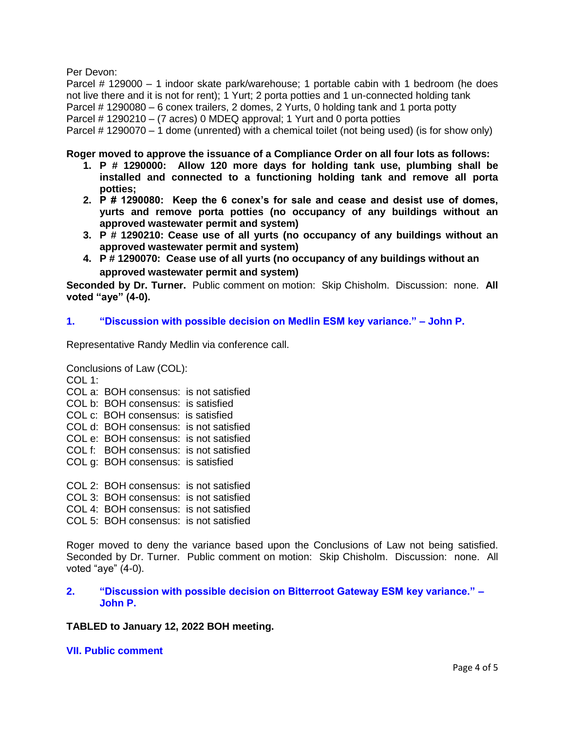Per Devon:

Parcel # 129000 – 1 indoor skate park/warehouse; 1 portable cabin with 1 bedroom (he does not live there and it is not for rent); 1 Yurt; 2 porta potties and 1 un-connected holding tank Parcel # 1290080 – 6 conex trailers, 2 domes, 2 Yurts, 0 holding tank and 1 porta potty Parcel # 1290210 – (7 acres) 0 MDEQ approval; 1 Yurt and 0 porta potties Parcel # 1290070 – 1 dome (unrented) with a chemical toilet (not being used) (is for show only)

**Roger moved to approve the issuance of a Compliance Order on all four lots as follows:**

- **1. P # 1290000: Allow 120 more days for holding tank use, plumbing shall be installed and connected to a functioning holding tank and remove all porta potties;**
- **2. P # 1290080: Keep the 6 conex's for sale and cease and desist use of domes, yurts and remove porta potties (no occupancy of any buildings without an approved wastewater permit and system)**
- **3. P # 1290210: Cease use of all yurts (no occupancy of any buildings without an approved wastewater permit and system)**
- **4. P # 1290070: Cease use of all yurts (no occupancy of any buildings without an approved wastewater permit and system)**

**Seconded by Dr. Turner.** Public comment on motion: Skip Chisholm. Discussion: none. **All voted "aye" (4-0).**

## **1. ["Discussion with possible decision on Medlin ESM key variance." –](http://ravalli-mt.granicus.com/wordlinkreceiver.php?clip_id=1f1c5d3a-f13f-4112-94d2-afc6324b08cd&meta_id=dc863337-f914-4cbb-ba70-decae4c64b6d&time=9503) John P.**

Representative Randy Medlin via conference call.

```
Conclusions of Law (COL):
COI 1:
COL a: BOH consensus: is not satisfied
COL b: BOH consensus: is satisfied 
COL c: BOH consensus: is satisfied
COL d: BOH consensus: is not satisfied
COL e: BOH consensus: is not satisfied
COL f: BOH consensus: is not satisfied
COL g: BOH consensus: is satisfied
COL 2: BOH consensus: is not satisfied
COL 3: BOH consensus: is not satisfied
COL 4: BOH consensus: is not satisfied
COL 5: BOH consensus: is not satisfied
```
Roger moved to deny the variance based upon the Conclusions of Law not being satisfied. Seconded by Dr. Turner. Public comment on motion: Skip Chisholm. Discussion: none. All voted "aye" (4-0).

### **2. ["Discussion with possible decision on Bitterroot Gateway ESM key variance." –](http://ravalli-mt.granicus.com/wordlinkreceiver.php?clip_id=1f1c5d3a-f13f-4112-94d2-afc6324b08cd&meta_id=1c3c55ec-8c22-4234-9c25-f4e47d6f8f63&time=10860) [John P.](http://ravalli-mt.granicus.com/wordlinkreceiver.php?clip_id=1f1c5d3a-f13f-4112-94d2-afc6324b08cd&meta_id=1c3c55ec-8c22-4234-9c25-f4e47d6f8f63&time=10860)**

**TABLED to January 12, 2022 BOH meeting.**

**[VII. Public comment](http://ravalli-mt.granicus.com/wordlinkreceiver.php?clip_id=1f1c5d3a-f13f-4112-94d2-afc6324b08cd&meta_id=0cc610dd-613f-4e31-894a-3bdac85e1cd5&time=11186)**